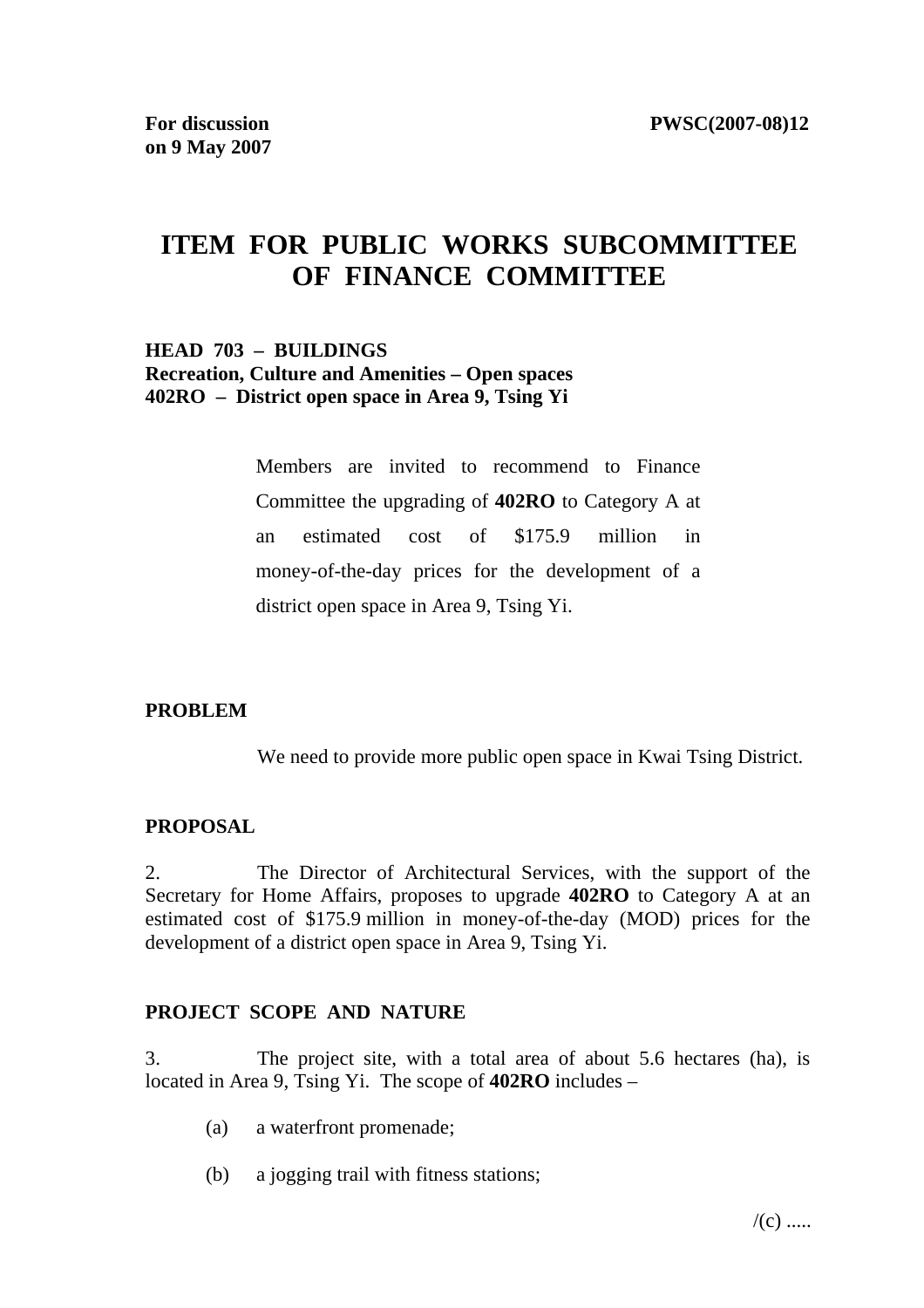# **ITEM FOR PUBLIC WORKS SUBCOMMITTEE OF FINANCE COMMITTEE**

### **HEAD 703 – BUILDINGS Recreation, Culture and Amenities – Open spaces 402RO – District open space in Area 9, Tsing Yi**

Members are invited to recommend to Finance Committee the upgrading of **402RO** to Category A at an estimated cost of \$175.9 million in money-of-the-day prices for the development of a district open space in Area 9, Tsing Yi.

### **PROBLEM**

We need to provide more public open space in Kwai Tsing District.

### **PROPOSAL**

2. The Director of Architectural Services, with the support of the Secretary for Home Affairs, proposes to upgrade **402RO** to Category A at an estimated cost of \$175.9 million in money-of-the-day (MOD) prices for the development of a district open space in Area 9, Tsing Yi.

### **PROJECT SCOPE AND NATURE**

3. The project site, with a total area of about 5.6 hectares (ha), is located in Area 9, Tsing Yi. The scope of **402RO** includes –

- (a) a waterfront promenade;
- (b) a jogging trail with fitness stations;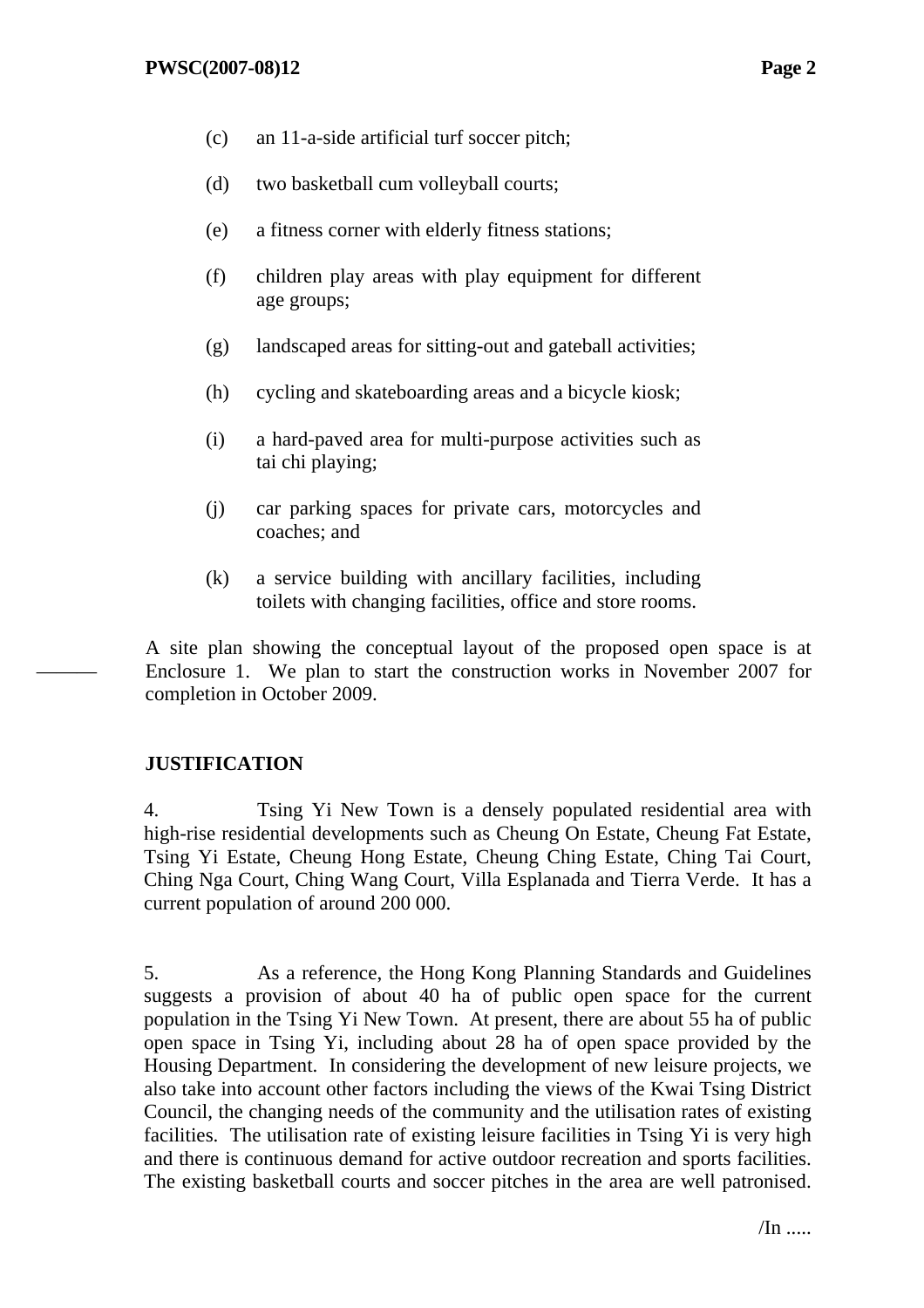- (c) an 11-a-side artificial turf soccer pitch;
- (d) two basketball cum volleyball courts;
- (e) a fitness corner with elderly fitness stations;
- (f) children play areas with play equipment for different age groups;
- (g) landscaped areas for sitting-out and gateball activities;
- (h) cycling and skateboarding areas and a bicycle kiosk;
- (i) a hard-paved area for multi-purpose activities such as tai chi playing;
- (j) car parking spaces for private cars, motorcycles and coaches; and
- (k) a service building with ancillary facilities, including toilets with changing facilities, office and store rooms.

A site plan showing the conceptual layout of the proposed open space is at Enclosure 1. We plan to start the construction works in November 2007 for completion in October 2009.

# **JUSTIFICATION**

———

4. Tsing Yi New Town is a densely populated residential area with high-rise residential developments such as Cheung On Estate, Cheung Fat Estate, Tsing Yi Estate, Cheung Hong Estate, Cheung Ching Estate, Ching Tai Court, Ching Nga Court, Ching Wang Court, Villa Esplanada and Tierra Verde. It has a current population of around 200 000.

5. As a reference, the Hong Kong Planning Standards and Guidelines suggests a provision of about 40 ha of public open space for the current population in the Tsing Yi New Town. At present, there are about 55 ha of public open space in Tsing Yi, including about 28 ha of open space provided by the Housing Department. In considering the development of new leisure projects, we also take into account other factors including the views of the Kwai Tsing District Council, the changing needs of the community and the utilisation rates of existing facilities. The utilisation rate of existing leisure facilities in Tsing Yi is very high and there is continuous demand for active outdoor recreation and sports facilities. The existing basketball courts and soccer pitches in the area are well patronised.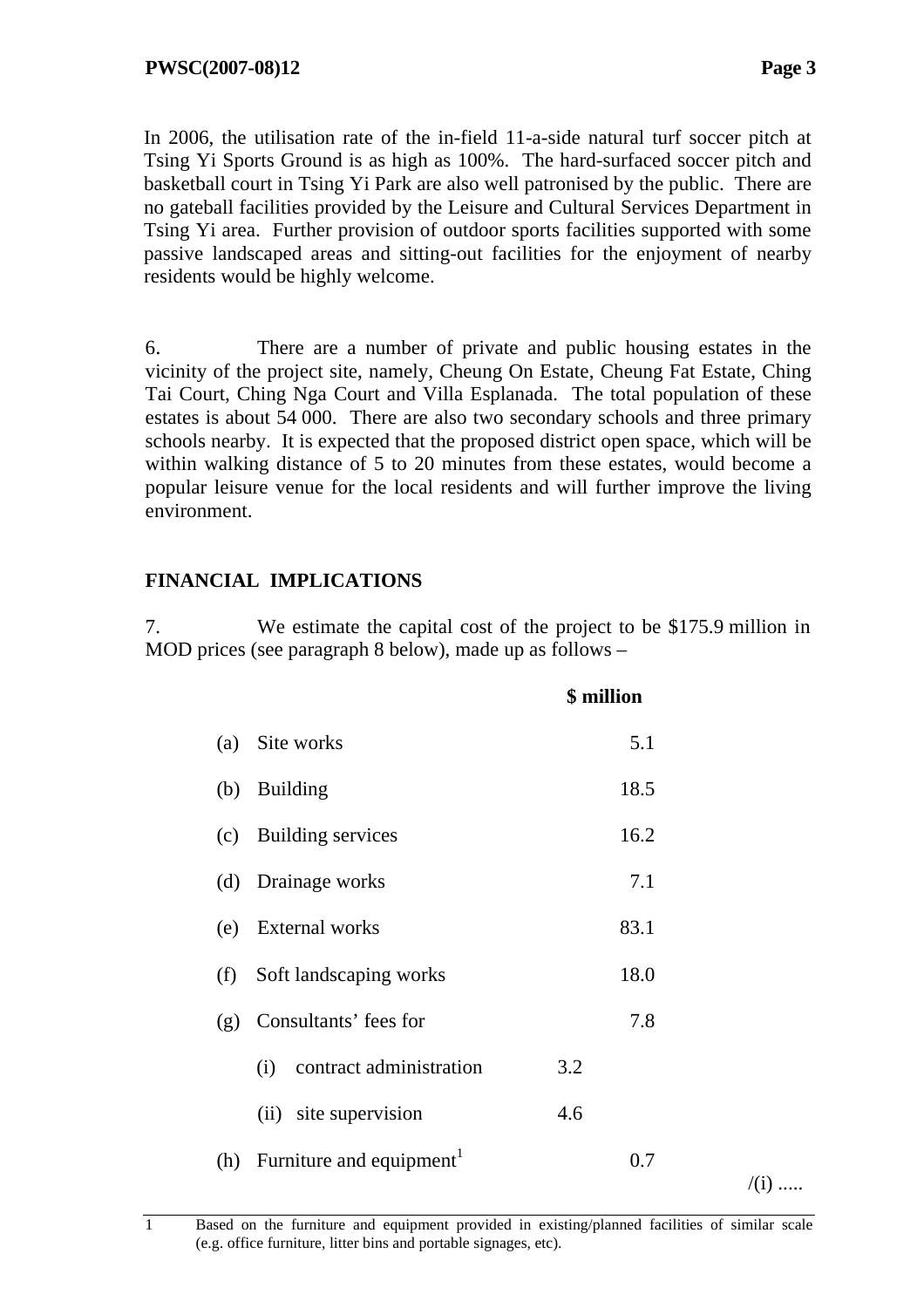$/(i)$  .....

In 2006, the utilisation rate of the in-field 11-a-side natural turf soccer pitch at Tsing Yi Sports Ground is as high as 100%. The hard-surfaced soccer pitch and basketball court in Tsing Yi Park are also well patronised by the public. There are no gateball facilities provided by the Leisure and Cultural Services Department in Tsing Yi area. Further provision of outdoor sports facilities supported with some passive landscaped areas and sitting-out facilities for the enjoyment of nearby residents would be highly welcome.

6. There are a number of private and public housing estates in the vicinity of the project site, namely, Cheung On Estate, Cheung Fat Estate, Ching Tai Court, Ching Nga Court and Villa Esplanada. The total population of these estates is about 54 000. There are also two secondary schools and three primary schools nearby. It is expected that the proposed district open space, which will be within walking distance of 5 to 20 minutes from these estates, would become a popular leisure venue for the local residents and will further improve the living environment.

# **FINANCIAL IMPLICATIONS**

7. We estimate the capital cost of the project to be \$175.9 million in MOD prices (see paragraph 8 below), made up as follows –

|     |                                          | \$ million |
|-----|------------------------------------------|------------|
| (a) | Site works                               | 5.1        |
| (b) | <b>Building</b>                          | 18.5       |
|     | (c) Building services                    | 16.2       |
|     | (d) Drainage works                       | 7.1        |
| (e) | <b>External works</b>                    | 83.1       |
| (f) | Soft landscaping works                   | 18.0       |
|     | (g) Consultants' fees for                | 7.8        |
|     | contract administration<br>(i)           | 3.2        |
|     | (ii) site supervision                    | 4.6        |
|     | (h) Furniture and equipment <sup>1</sup> | 0.7        |
|     |                                          |            |

1 Based on the furniture and equipment provided in existing/planned facilities of similar scale (e.g. office furniture, litter bins and portable signages, etc).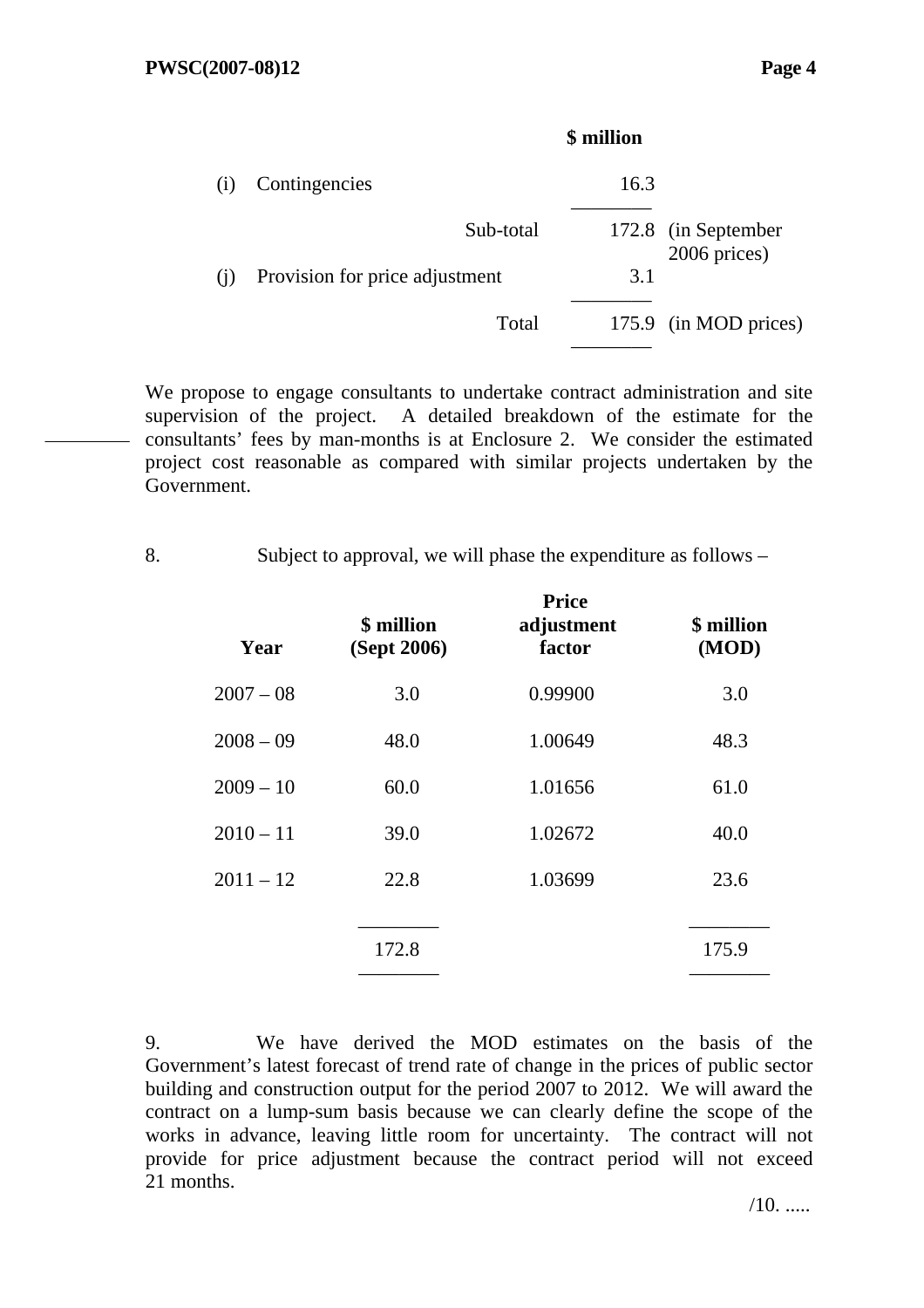|     |                                | \$ million |                                     |
|-----|--------------------------------|------------|-------------------------------------|
|     | Contingencies                  | 16.3       |                                     |
|     | Sub-total                      |            | 172.8 (in September<br>2006 prices) |
| (1) | Provision for price adjustment | 3.1        |                                     |
|     | Total                          |            | 175.9 (in MOD prices)               |
|     |                                |            |                                     |

We propose to engage consultants to undertake contract administration and site supervision of the project. A detailed breakdown of the estimate for the consultants' fees by man-months is at Enclosure 2. We consider the estimated project cost reasonable as compared with similar projects undertaken by the Government.

| δ. |  | Subject to approval, we will phase the expenditure as follows – |
|----|--|-----------------------------------------------------------------|
|    |  |                                                                 |

| Year        | \$ million<br>(Sept 2006) | rrice<br>adjustment<br>factor | \$ million<br>(MOD) |
|-------------|---------------------------|-------------------------------|---------------------|
| $2007 - 08$ | 3.0                       | 0.99900                       | 3.0                 |
| $2008 - 09$ | 48.0                      | 1.00649                       | 48.3                |
| $2009 - 10$ | 60.0                      | 1.01656                       | 61.0                |
| $2010 - 11$ | 39.0                      | 1.02672                       | 40.0                |
| $2011 - 12$ | 22.8                      | 1.03699                       | 23.6                |
|             | 172.8                     |                               | 175.9               |
|             |                           |                               |                     |

**Price** 

9. We have derived the MOD estimates on the basis of the Government's latest forecast of trend rate of change in the prices of public sector building and construction output for the period 2007 to 2012. We will award the contract on a lump-sum basis because we can clearly define the scope of the works in advance, leaving little room for uncertainty. The contract will not provide for price adjustment because the contract period will not exceed 21 months.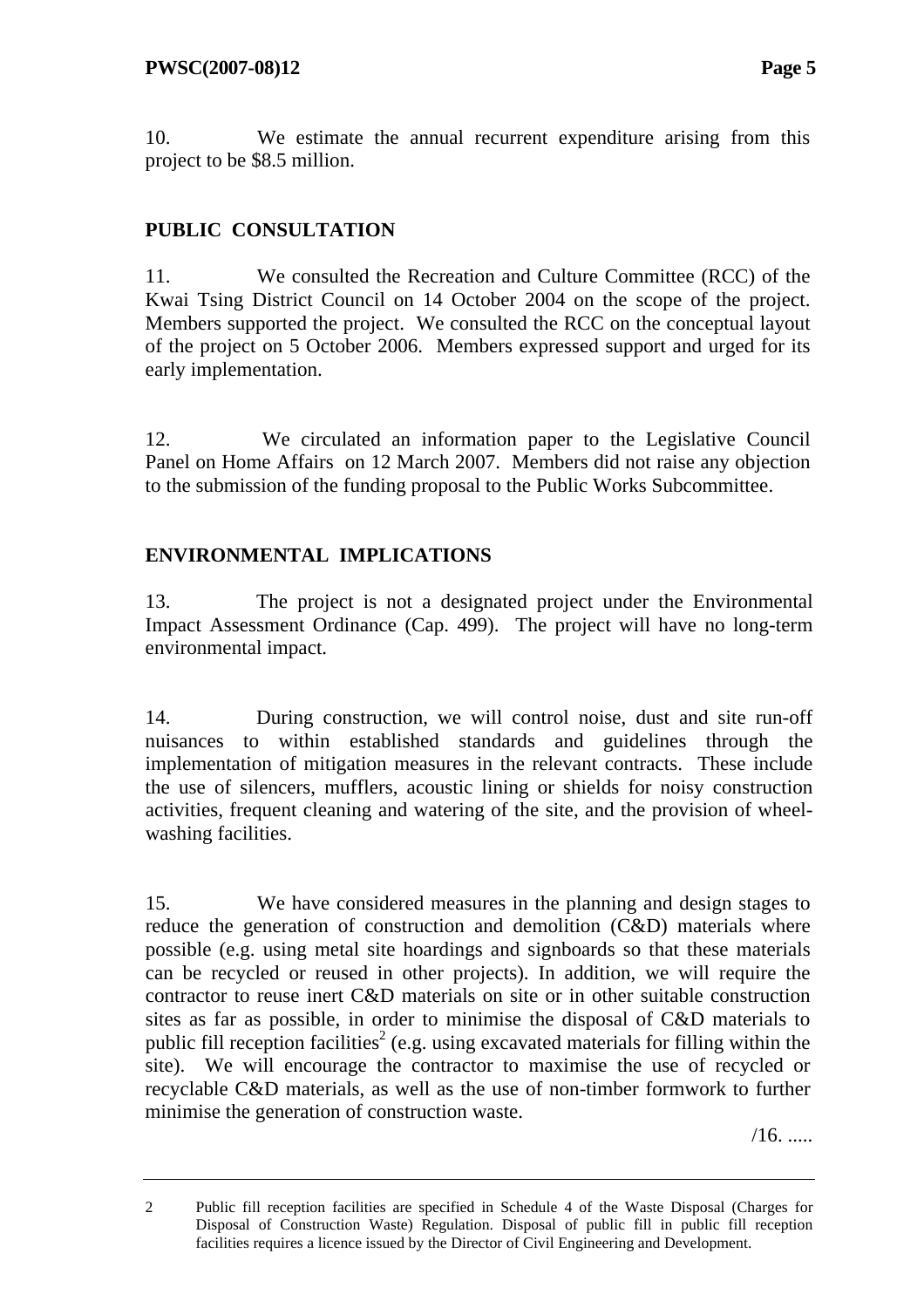10. We estimate the annual recurrent expenditure arising from this project to be \$8.5 million.

# **PUBLIC CONSULTATION**

11. We consulted the Recreation and Culture Committee (RCC) of the Kwai Tsing District Council on 14 October 2004 on the scope of the project. Members supported the project. We consulted the RCC on the conceptual layout of the project on 5 October 2006. Members expressed support and urged for its early implementation.

12. We circulated an information paper to the Legislative Council Panel on Home Affairs on 12 March 2007. Members did not raise any objection to the submission of the funding proposal to the Public Works Subcommittee.

# **ENVIRONMENTAL IMPLICATIONS**

13. The project is not a designated project under the Environmental Impact Assessment Ordinance (Cap. 499). The project will have no long-term environmental impact.

14. During construction, we will control noise, dust and site run-off nuisances to within established standards and guidelines through the implementation of mitigation measures in the relevant contracts. These include the use of silencers, mufflers, acoustic lining or shields for noisy construction activities, frequent cleaning and watering of the site, and the provision of wheelwashing facilities.

15. We have considered measures in the planning and design stages to reduce the generation of construction and demolition (C&D) materials where possible (e.g. using metal site hoardings and signboards so that these materials can be recycled or reused in other projects). In addition, we will require the contractor to reuse inert C&D materials on site or in other suitable construction sites as far as possible, in order to minimise the disposal of C&D materials to public fill reception facilities<sup>2</sup> (e.g. using excavated materials for filling within the site). We will encourage the contractor to maximise the use of recycled or recyclable C&D materials, as well as the use of non-timber formwork to further minimise the generation of construction waste.

 $/16.$ ......

<sup>2</sup> Public fill reception facilities are specified in Schedule 4 of the Waste Disposal (Charges for Disposal of Construction Waste) Regulation. Disposal of public fill in public fill reception facilities requires a licence issued by the Director of Civil Engineering and Development.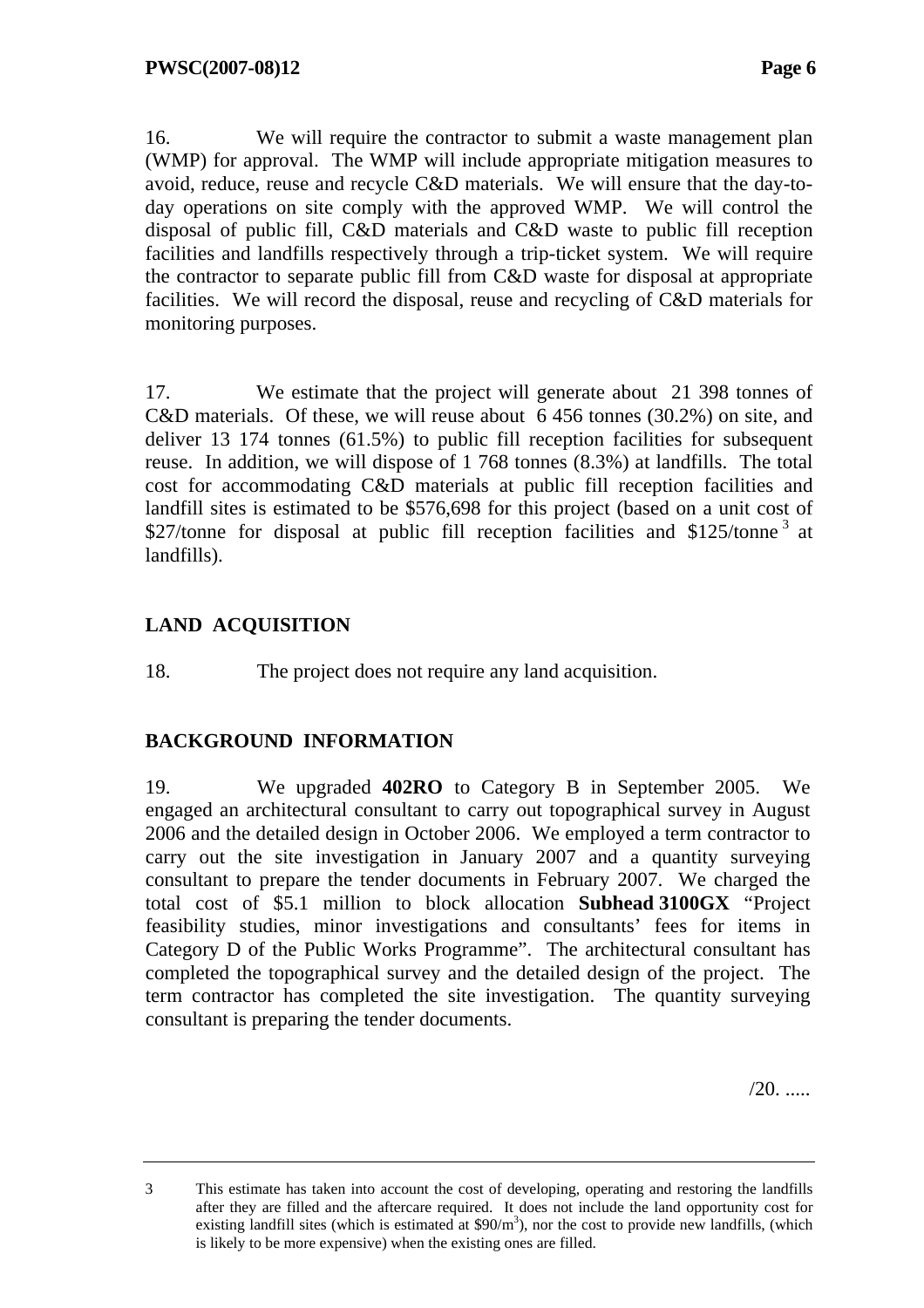16. We will require the contractor to submit a waste management plan (WMP) for approval. The WMP will include appropriate mitigation measures to avoid, reduce, reuse and recycle C&D materials. We will ensure that the day-today operations on site comply with the approved WMP. We will control the disposal of public fill, C&D materials and C&D waste to public fill reception facilities and landfills respectively through a trip-ticket system. We will require the contractor to separate public fill from C&D waste for disposal at appropriate facilities. We will record the disposal, reuse and recycling of C&D materials for monitoring purposes.

17. We estimate that the project will generate about 21 398 tonnes of C&D materials. Of these, we will reuse about 6 456 tonnes (30.2%) on site, and deliver 13 174 tonnes (61.5%) to public fill reception facilities for subsequent reuse. In addition, we will dispose of 1 768 tonnes (8.3%) at landfills. The total cost for accommodating C&D materials at public fill reception facilities and landfill sites is estimated to be \$576,698 for this project (based on a unit cost of \$27/tonne for disposal at public fill reception facilities and  $$125/tonne<sup>3</sup>$  at landfills).

# **LAND ACQUISITION**

18. The project does not require any land acquisition.

### **BACKGROUND INFORMATION**

19. We upgraded **402RO** to Category B in September 2005. We engaged an architectural consultant to carry out topographical survey in August 2006 and the detailed design in October 2006. We employed a term contractor to carry out the site investigation in January 2007 and a quantity surveying consultant to prepare the tender documents in February 2007. We charged the total cost of \$5.1 million to block allocation **Subhead 3100GX** "Project feasibility studies, minor investigations and consultants' fees for items in Category D of the Public Works Programme". The architectural consultant has completed the topographical survey and the detailed design of the project. The term contractor has completed the site investigation. The quantity surveying consultant is preparing the tender documents.

 $/20.$  .....

<sup>3</sup> This estimate has taken into account the cost of developing, operating and restoring the landfills after they are filled and the aftercare required. It does not include the land opportunity cost for existing landfill sites (which is estimated at  $$90/m<sup>3</sup>$ ), nor the cost to provide new landfills, (which is likely to be more expensive) when the existing ones are filled.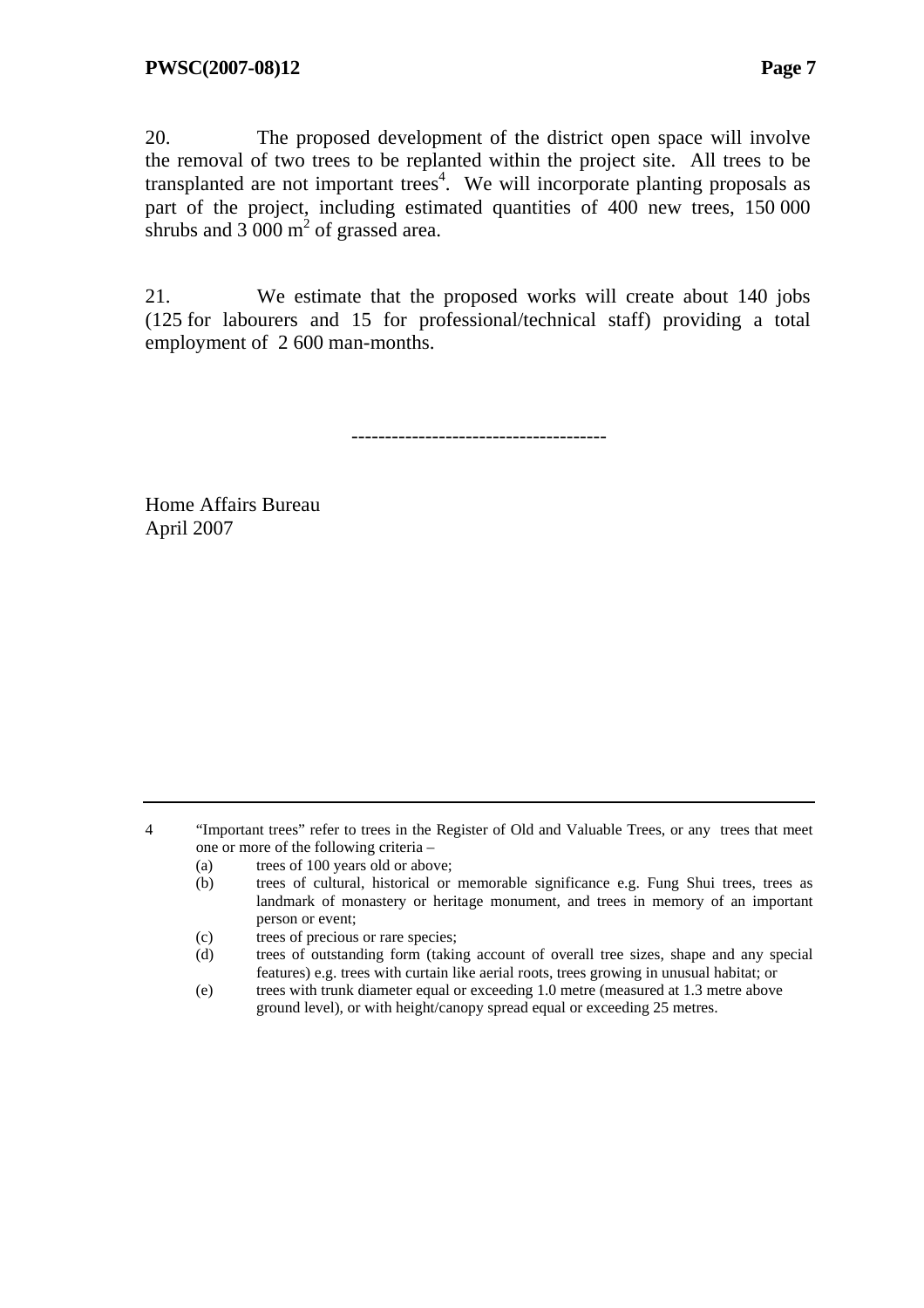20. The proposed development of the district open space will involve the removal of two trees to be replanted within the project site. All trees to be transplanted are not important trees<sup>4</sup>. We will incorporate planting proposals as part of the project, including estimated quantities of 400 new trees, 150 000 shrubs and  $3\,000 \text{ m}^2$  of grassed area.

21. We estimate that the proposed works will create about 140 jobs (125 for labourers and 15 for professional/technical staff) providing a total employment of 2 600 man-months.

--------------------------------------

Home Affairs Bureau April 2007

4 "Important trees" refer to trees in the Register of Old and Valuable Trees, or any trees that meet one or more of the following criteria –

- (a) trees of 100 years old or above;
- (b) trees of cultural, historical or memorable significance e.g. Fung Shui trees, trees as landmark of monastery or heritage monument, and trees in memory of an important person or event;
- (c) trees of precious or rare species;
- (d) trees of outstanding form (taking account of overall tree sizes, shape and any special features) e.g. trees with curtain like aerial roots, trees growing in unusual habitat; or
- (e) trees with trunk diameter equal or exceeding 1.0 metre (measured at 1.3 metre above ground level), or with height/canopy spread equal or exceeding 25 metres.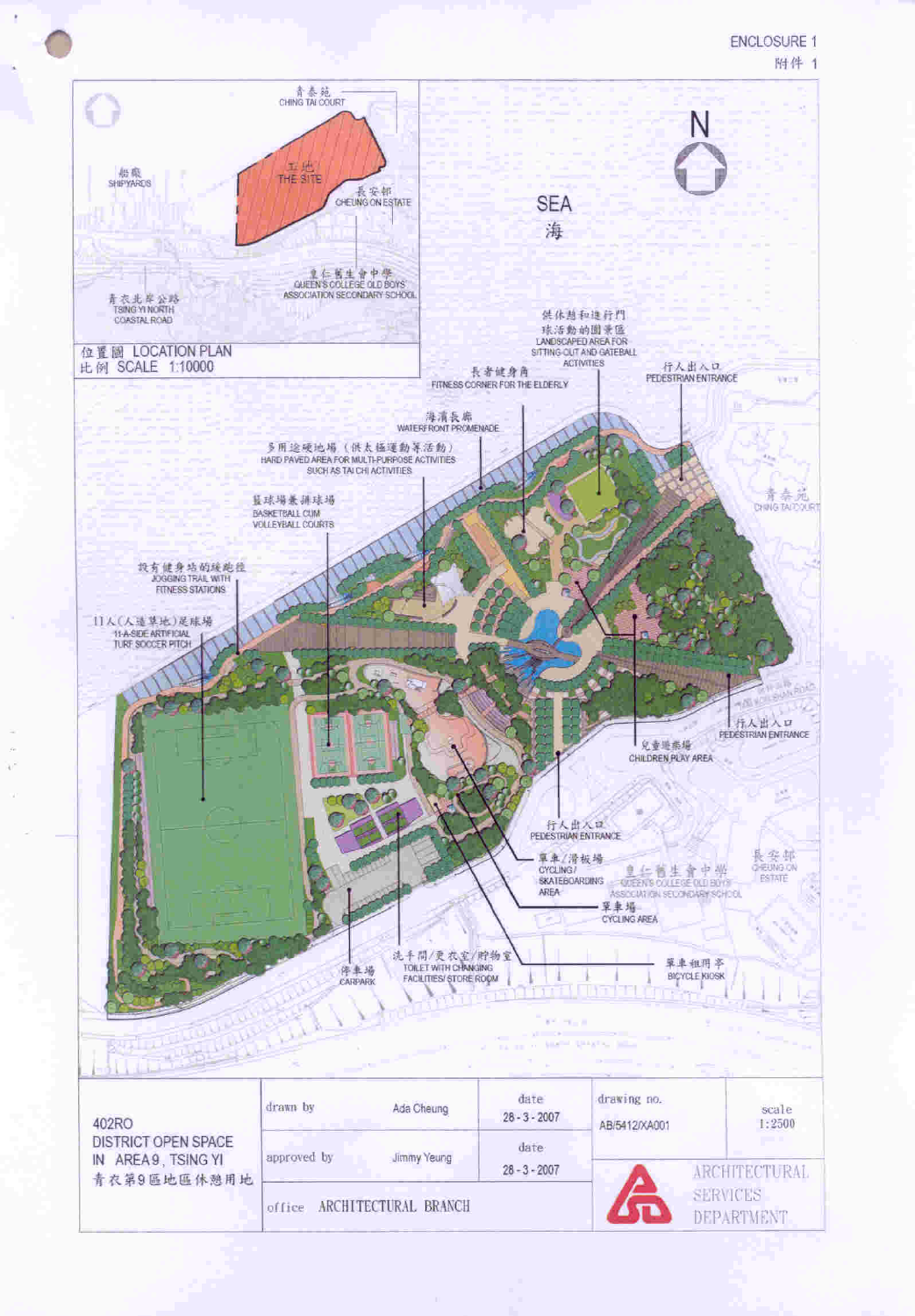

 $28 - 3 - 2007$ 

office ARCHITECTURAL BRANCH

青衣第9區地區休憩用地

**SERVICES** 

**ARCHITECTURAL**